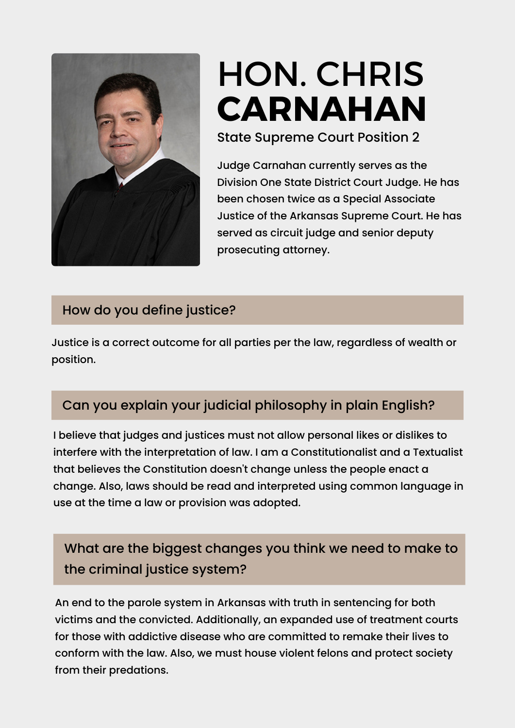

# HON. [CH](https://www.ark.org/arelections/index.php?ac:show:cand_search=1&candid=3552)RIS **[CARNAHAN](https://www.ark.org/arelections/index.php?ac:show:cand_search=1&candid=3405)**

State Supreme Court Position 2

Judge Carnahan currently serves as the Division One State District Court Judge. He has been chosen twice as a Special Associate Justice of the Arkansas Supreme Court. He has served as circuit judge and senior deputy prosecuting attorney.

#### How do you define justice?

Justice is a correct outcome for all parties per the law, regardless of wealth or position.

## Can you explain your judicial philosophy in plain English?

I believe that judges and justices must not allow personal likes or dislikes to interfere with the interpretation of law. I am a Constitutionalist and a Textualist that believes the Constitution doesn't change unless the people enact a change. Also, laws should be read and interpreted using common language in use at the time a law or provision was adopted.

# What are the biggest changes you think we need to make to the criminal justice system?

An end to the parole system in Arkansas with truth in sentencing for both victims and the convicted. Additionally, an expanded use of treatment courts for those with addictive disease who are committed to remake their lives to conform with the law. Also, we must house violent felons and protect society from their predations.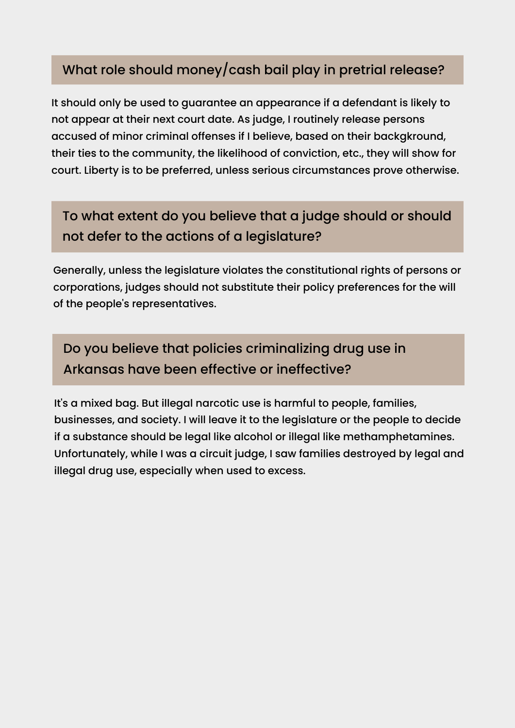#### What role should money/cash bail play in pretrial release?

It should only be used to guarantee an appearance if a defendant is likely to not appear at their next court date. As judge, I routinely release persons accused of minor criminal offenses if I believe, based on their backgkround, their ties to the community, the likelihood of conviction, etc., they will show for court. Liberty is to be preferred, unless serious circumstances prove otherwise.

# To what extent do you believe that a judge should or should not defer to the actions of a legislature?

Generally, unless the legislature violates the constitutional rights of persons or corporations, judges should not substitute their policy preferences for the will of the people's representatives.

Do you believe that policies criminalizing drug use in Arkansas have been effective or ineffective?

It's a mixed bag. But illegal narcotic use is harmful to people, families, businesses, and society. I will leave it to the legislature or the people to decide if a substance should be legal like alcohol or illegal like methamphetamines. Unfortunately, while I was a circuit judge, I saw families destroyed by legal and illegal drug use, especially when used to excess.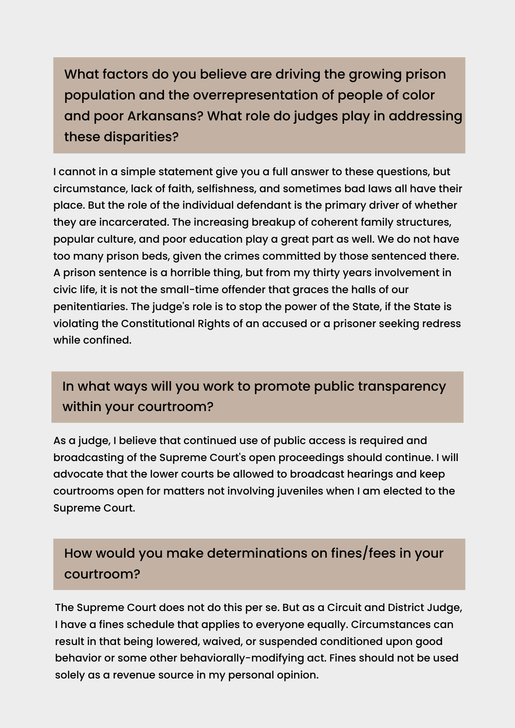What factors do you believe are driving the growing prison population and the overrepresentation of people of color and poor Arkansans? What role do judges play in addressing these disparities?

I cannot in a simple statement give you a full answer to these questions, but circumstance, lack of faith, selfishness, and sometimes bad laws all have their place. But the role of the individual defendant is the primary driver of whether they are incarcerated. The increasing breakup of coherent family structures, popular culture, and poor education play a great part as well. We do not have too many prison beds, given the crimes committed by those sentenced there. A prison sentence is a horrible thing, but from my thirty years involvement in civic life, it is not the small-time offender that graces the halls of our penitentiaries. The judge's role is to stop the power of the State, if the State is violating the Constitutional Rights of an accused or a prisoner seeking redress while confined.

## In what ways will you work to promote public transparency within your courtroom?

As a judge, I believe that continued use of public access is required and broadcasting of the Supreme Court's open proceedings should continue. I will advocate that the lower courts be allowed to broadcast hearings and keep courtrooms open for matters not involving juveniles when I am elected to the Supreme Court.

# How would you make determinations on fines/fees in your courtroom?

The Supreme Court does not do this per se. But as a Circuit and District Judge, I have a fines schedule that applies to everyone equally. Circumstances can result in that being lowered, waived, or suspended conditioned upon good behavior or some other behaviorally-modifying act. Fines should not be used solely as a revenue source in my personal opinion.